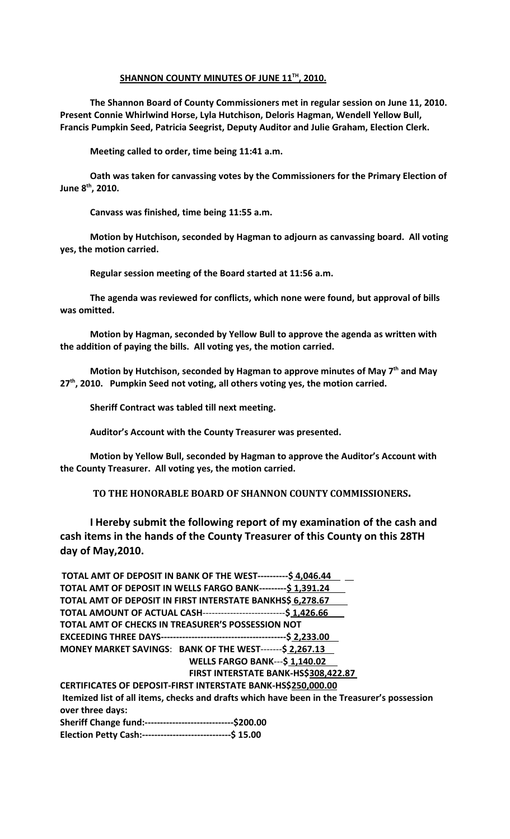## **SHANNON COUNTY MINUTES OF JUNE 11TH , 2010.**

**The Shannon Board of County Commissioners met in regular session on June 11, 2010. Present Connie Whirlwind Horse, Lyla Hutchison, Deloris Hagman, Wendell Yellow Bull, Francis Pumpkin Seed, Patricia Seegrist, Deputy Auditor and Julie Graham, Election Clerk.** 

**Meeting called to order, time being 11:41 a.m.**

**Oath was taken for canvassing votes by the Commissioners for the Primary Election of June 8th, 2010.**

**Canvass was finished, time being 11:55 a.m.**

**Motion by Hutchison, seconded by Hagman to adjourn as canvassing board. All voting yes, the motion carried.**

**Regular session meeting of the Board started at 11:56 a.m.**

**The agenda was reviewed for conflicts, which none were found, but approval of bills was omitted.**

**Motion by Hagman, seconded by Yellow Bull to approve the agenda as written with the addition of paying the bills. All voting yes, the motion carried.**

**Motion by Hutchison, seconded by Hagman to approve minutes of May 7th and May 27th, 2010. Pumpkin Seed not voting, all others voting yes, the motion carried.**

**Sheriff Contract was tabled till next meeting.**

**Auditor's Account with the County Treasurer was presented.**

**Motion by Yellow Bull, seconded by Hagman to approve the Auditor's Account with the County Treasurer. All voting yes, the motion carried.**

**TO THE HONORABLE BOARD OF SHANNON COUNTY COMMISSIONERS.** 

**I Hereby submit the following report of my examination of the cash and cash items in the hands of the County Treasurer of this County on this 28TH day of May,2010.**

| TOTAL AMT OF DEPOSIT IN BANK OF THE WEST----------\$ 4,046.44                               |
|---------------------------------------------------------------------------------------------|
| TOTAL AMT OF DEPOSIT IN WELLS FARGO BANK---------\$ 1,391.24                                |
| TOTAL AMT OF DEPOSIT IN FIRST INTERSTATE BANKHS\$ 6,278.67                                  |
| TOTAL AMOUNT OF ACTUAL CASH-----------------------------\$ 1,426.66                         |
| TOTAL AMT OF CHECKS IN TREASURER'S POSSESSION NOT                                           |
|                                                                                             |
| MONEY MARKET SAVINGS: BANK OF THE WEST-------\$ 2,267.13                                    |
| <b>WELLS FARGO BANK---\$1,140.02</b>                                                        |
| FIRST INTERSTATE BANK-HS\$308,422.87                                                        |
| CERTIFICATES OF DEPOSIT-FIRST INTERSTATE BANK-HS\$250,000.00                                |
| Itemized list of all items, checks and drafts which have been in the Treasurer's possession |
| over three days:                                                                            |
| Sheriff Change fund:------------------------------\$200.00                                  |
| Election Petty Cash:------------------------------\$ 15.00                                  |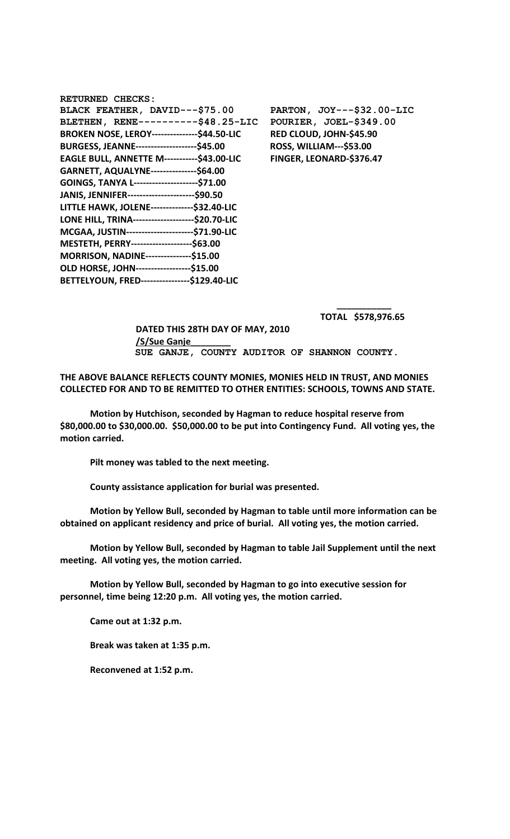| <b>RETURNED CHECKS:</b>                              |                                |
|------------------------------------------------------|--------------------------------|
| BLACK FEATHER, DAVID---\$75.00                       | PARTON, JOY---\$32.00-LIC      |
| BLETHEN, RENE----------\$48.25-LIC                   | POURIER, JOEL-\$349.00         |
| <b>BROKEN NOSE, LEROY----------------\$44.50-LIC</b> | RED CLOUD, JOHN-\$45.90        |
| <b>BURGESS, JEANNE----------------------\$45.00</b>  | <b>ROSS, WILLIAM---\$53.00</b> |
| <b>EAGLE BULL, ANNETTE M-----------\$43.00-LIC</b>   | FINGER, LEONARD-\$376.47       |
| GARNETT, AQUALYNE---------------\$64.00              |                                |
| GOINGS, TANYA L----------------------\$71.00         |                                |
| JANIS, JENNIFER------------------------\$90.50       |                                |
| LITTLE HAWK, JOLENE---------------\$32.40-LIC        |                                |
| LONE HILL, TRINA---------------------\$20.70-LIC     |                                |
| MCGAA, JUSTIN------------------------\$71.90-LIC     |                                |
| MESTETH, PERRY----------------------\$63.00          |                                |
| MORRISON, NADINE---------------\$15.00               |                                |
| OLD HORSE, JOHN------------------\$15.00             |                                |
| BETTELYOUN, FRED-----------------\$129.40-LIC        |                                |

 **\_\_\_\_\_\_\_\_\_\_\_ TOTAL \$578,976.65** 

 **DATED THIS 28TH DAY OF MAY, 2010 /S/Sue Ganje\_\_\_\_\_\_\_\_ SUE GANJE, COUNTY AUDITOR OF SHANNON COUNTY.**

**THE ABOVE BALANCE REFLECTS COUNTY MONIES, MONIES HELD IN TRUST, AND MONIES COLLECTED FOR AND TO BE REMITTED TO OTHER ENTITIES: SCHOOLS, TOWNS AND STATE.**

**Motion by Hutchison, seconded by Hagman to reduce hospital reserve from \$80,000.00 to \$30,000.00. \$50,000.00 to be put into Contingency Fund. All voting yes, the motion carried.**

**Pilt money was tabled to the next meeting.**

**County assistance application for burial was presented.**

**Motion by Yellow Bull, seconded by Hagman to table until more information can be obtained on applicant residency and price of burial. All voting yes, the motion carried.**

**Motion by Yellow Bull, seconded by Hagman to table Jail Supplement until the next meeting. All voting yes, the motion carried.**

**Motion by Yellow Bull, seconded by Hagman to go into executive session for personnel, time being 12:20 p.m. All voting yes, the motion carried.**

**Came out at 1:32 p.m.**

**Break was taken at 1:35 p.m.**

**Reconvened at 1:52 p.m.**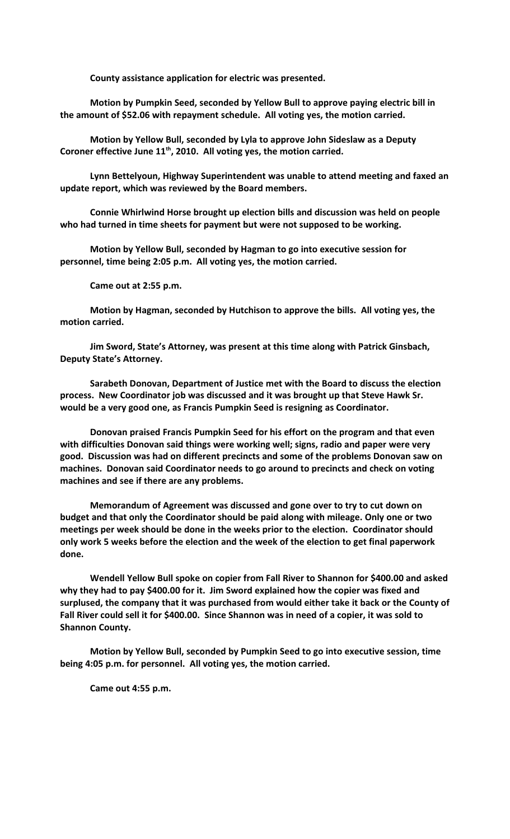**County assistance application for electric was presented.**

**Motion by Pumpkin Seed, seconded by Yellow Bull to approve paying electric bill in the amount of \$52.06 with repayment schedule. All voting yes, the motion carried.**

**Motion by Yellow Bull, seconded by Lyla to approve John Sideslaw as a Deputy Coroner effective June 11th, 2010. All voting yes, the motion carried.**

**Lynn Bettelyoun, Highway Superintendent was unable to attend meeting and faxed an update report, which was reviewed by the Board members.**

**Connie Whirlwind Horse brought up election bills and discussion was held on people who had turned in time sheets for payment but were not supposed to be working.**

**Motion by Yellow Bull, seconded by Hagman to go into executive session for personnel, time being 2:05 p.m. All voting yes, the motion carried.**

**Came out at 2:55 p.m.**

**Motion by Hagman, seconded by Hutchison to approve the bills. All voting yes, the motion carried.**

**Jim Sword, State's Attorney, was present at this time along with Patrick Ginsbach, Deputy State's Attorney.**

**Sarabeth Donovan, Department of Justice met with the Board to discuss the election process. New Coordinator job was discussed and it was brought up that Steve Hawk Sr. would be a very good one, as Francis Pumpkin Seed is resigning as Coordinator.**

**Donovan praised Francis Pumpkin Seed for his effort on the program and that even with difficulties Donovan said things were working well; signs, radio and paper were very good. Discussion was had on different precincts and some of the problems Donovan saw on machines. Donovan said Coordinator needs to go around to precincts and check on voting machines and see if there are any problems.**

**Memorandum of Agreement was discussed and gone over to try to cut down on budget and that only the Coordinator should be paid along with mileage. Only one or two meetings per week should be done in the weeks prior to the election. Coordinator should only work 5 weeks before the election and the week of the election to get final paperwork done.**

**Wendell Yellow Bull spoke on copier from Fall River to Shannon for \$400.00 and asked why they had to pay \$400.00 for it. Jim Sword explained how the copier was fixed and surplused, the company that it was purchased from would either take it back or the County of Fall River could sell it for \$400.00. Since Shannon was in need of a copier, it was sold to Shannon County.**

**Motion by Yellow Bull, seconded by Pumpkin Seed to go into executive session, time being 4:05 p.m. for personnel. All voting yes, the motion carried.**

**Came out 4:55 p.m.**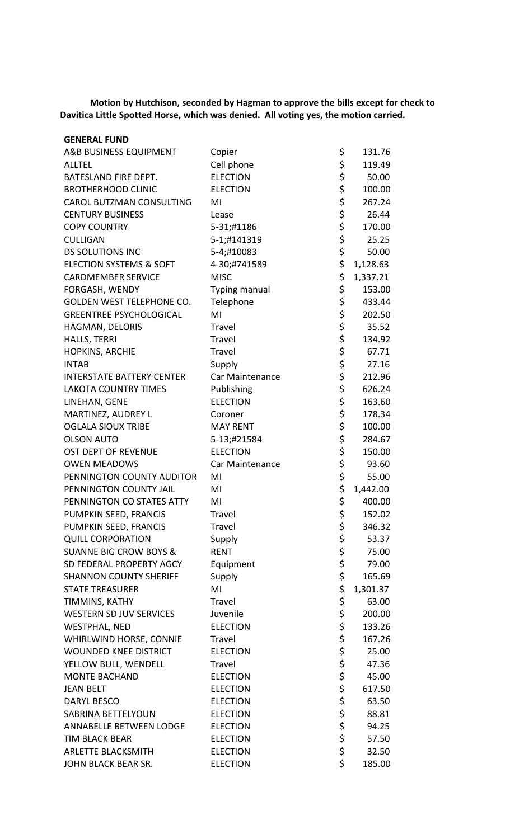**Motion by Hutchison, seconded by Hagman to approve the bills except for check to Davitica Little Spotted Horse, which was denied. All voting yes, the motion carried.**

| <b>GENERAL FUND</b>                |                      |    |          |
|------------------------------------|----------------------|----|----------|
| A&B BUSINESS EQUIPMENT             | Copier               | \$ | 131.76   |
| <b>ALLTEL</b>                      | Cell phone           | \$ | 119.49   |
| BATESLAND FIRE DEPT.               | <b>ELECTION</b>      | \$ | 50.00    |
| <b>BROTHERHOOD CLINIC</b>          | <b>ELECTION</b>      | \$ | 100.00   |
| <b>CAROL BUTZMAN CONSULTING</b>    | MI                   | \$ | 267.24   |
| <b>CENTURY BUSINESS</b>            | Lease                | \$ | 26.44    |
| <b>COPY COUNTRY</b>                | 5-31;#1186           | \$ | 170.00   |
| <b>CULLIGAN</b>                    | 5-1;#141319          | \$ | 25.25    |
| <b>DS SOLUTIONS INC</b>            | 5-4;#10083           | \$ | 50.00    |
| <b>ELECTION SYSTEMS &amp; SOFT</b> | 4-30;#741589         | \$ | 1,128.63 |
| <b>CARDMEMBER SERVICE</b>          | <b>MISC</b>          | \$ | 1,337.21 |
| FORGASH, WENDY                     | <b>Typing manual</b> | \$ | 153.00   |
| <b>GOLDEN WEST TELEPHONE CO.</b>   | Telephone            | \$ | 433.44   |
| <b>GREENTREE PSYCHOLOGICAL</b>     | MI                   | \$ | 202.50   |
| HAGMAN, DELORIS                    | Travel               | \$ | 35.52    |
| HALLS, TERRI                       | Travel               | \$ | 134.92   |
| HOPKINS, ARCHIE                    | Travel               | \$ | 67.71    |
| <b>INTAB</b>                       | Supply               | \$ | 27.16    |
| <b>INTERSTATE BATTERY CENTER</b>   | Car Maintenance      | \$ | 212.96   |
| <b>LAKOTA COUNTRY TIMES</b>        | Publishing           | \$ | 626.24   |
| LINEHAN, GENE                      | <b>ELECTION</b>      | \$ | 163.60   |
| MARTINEZ, AUDREY L                 | Coroner              | \$ | 178.34   |
| <b>OGLALA SIOUX TRIBE</b>          | <b>MAY RENT</b>      | \$ | 100.00   |
| <b>OLSON AUTO</b>                  | 5-13;#21584          | \$ | 284.67   |
| OST DEPT OF REVENUE                | <b>ELECTION</b>      | \$ | 150.00   |
| <b>OWEN MEADOWS</b>                | Car Maintenance      | \$ | 93.60    |
| PENNINGTON COUNTY AUDITOR          | MI                   | \$ | 55.00    |
| PENNINGTON COUNTY JAIL             | MI                   | \$ | 1,442.00 |
|                                    | MI                   | Ś  |          |
| PENNINGTON CO STATES ATTY          |                      |    | 400.00   |
| PUMPKIN SEED, FRANCIS              | Travel               | \$ | 152.02   |
| PUMPKIN SEED, FRANCIS              | Travel               | \$ | 346.32   |
| <b>QUILL CORPORATION</b>           | Supply               | \$ | 53.37    |
| <b>SUANNE BIG CROW BOYS &amp;</b>  | <b>RENT</b>          | \$ | 75.00    |
| SD FEDERAL PROPERTY AGCY           | Equipment            | \$ | 79.00    |
| <b>SHANNON COUNTY SHERIFF</b>      | Supply               | \$ | 165.69   |
| <b>STATE TREASURER</b>             | MI                   | \$ | 1,301.37 |
| TIMMINS, KATHY                     | Travel               | \$ | 63.00    |
| WESTERN SD JUV SERVICES            | Juvenile             | \$ | 200.00   |
| <b>WESTPHAL, NED</b>               | <b>ELECTION</b>      | \$ | 133.26   |
| WHIRLWIND HORSE, CONNIE            | Travel               | \$ | 167.26   |
| <b>WOUNDED KNEE DISTRICT</b>       | <b>ELECTION</b>      | \$ | 25.00    |
| YELLOW BULL, WENDELL               | Travel               | \$ | 47.36    |
| <b>MONTE BACHAND</b>               | <b>ELECTION</b>      | \$ | 45.00    |
| <b>JEAN BELT</b>                   | <b>ELECTION</b>      | \$ | 617.50   |
| <b>DARYL BESCO</b>                 | <b>ELECTION</b>      | \$ | 63.50    |
| SABRINA BETTELYOUN                 | <b>ELECTION</b>      | \$ | 88.81    |
| ANNABELLE BETWEEN LODGE            | <b>ELECTION</b>      | \$ | 94.25    |
| <b>TIM BLACK BEAR</b>              | <b>ELECTION</b>      | \$ | 57.50    |
| <b>ARLETTE BLACKSMITH</b>          | <b>ELECTION</b>      | \$ | 32.50    |
| JOHN BLACK BEAR SR.                | <b>ELECTION</b>      | \$ | 185.00   |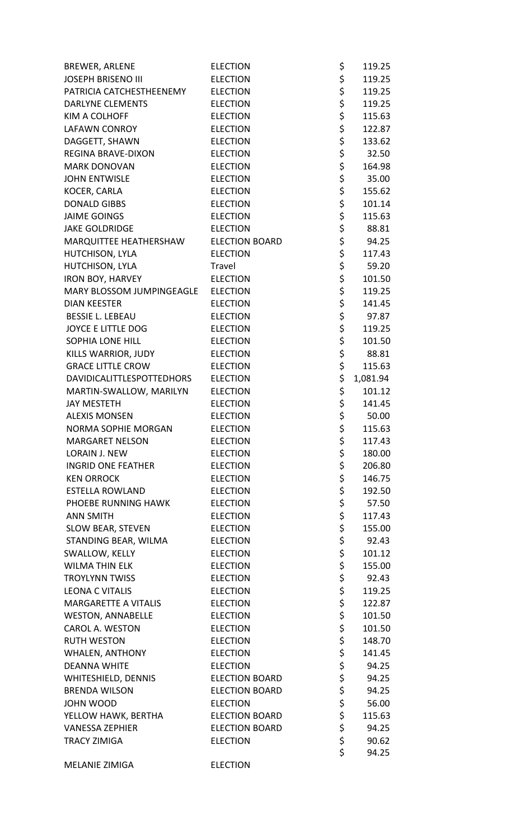| <b>BREWER, ARLENE</b>     | <b>ELECTION</b>       | \$          | 119.25   |
|---------------------------|-----------------------|-------------|----------|
| <b>JOSEPH BRISENO III</b> | <b>ELECTION</b>       |             | 119.25   |
| PATRICIA CATCHESTHEENEMY  | <b>ELECTION</b>       |             | 119.25   |
| <b>DARLYNE CLEMENTS</b>   | <b>ELECTION</b>       |             | 119.25   |
| <b>KIM A COLHOFF</b>      | <b>ELECTION</b>       | \$ \$ \$ \$ | 115.63   |
| <b>LAFAWN CONROY</b>      | <b>ELECTION</b>       |             | 122.87   |
| DAGGETT, SHAWN            | <b>ELECTION</b>       | \$ \$ \$ \$ | 133.62   |
| <b>REGINA BRAVE-DIXON</b> | <b>ELECTION</b>       |             | 32.50    |
| <b>MARK DONOVAN</b>       | <b>ELECTION</b>       |             | 164.98   |
| <b>JOHN ENTWISLE</b>      | <b>ELECTION</b>       |             | 35.00    |
| KOCER, CARLA              | <b>ELECTION</b>       | \$<br>\$    | 155.62   |
| <b>DONALD GIBBS</b>       | <b>ELECTION</b>       |             | 101.14   |
| <b>JAIME GOINGS</b>       | <b>ELECTION</b>       |             | 115.63   |
| <b>JAKE GOLDRIDGE</b>     | <b>ELECTION</b>       |             | 88.81    |
| MARQUITTEE HEATHERSHAW    | <b>ELECTION BOARD</b> |             | 94.25    |
| HUTCHISON, LYLA           | <b>ELECTION</b>       |             | 117.43   |
| HUTCHISON, LYLA           | Travel                | ささささ        | 59.20    |
| <b>IRON BOY, HARVEY</b>   | <b>ELECTION</b>       |             | 101.50   |
| MARY BLOSSOM JUMPINGEAGLE | <b>ELECTION</b>       | \$<br>\$    | 119.25   |
| <b>DIAN KEESTER</b>       | <b>ELECTION</b>       |             | 141.45   |
| <b>BESSIE L. LEBEAU</b>   | <b>ELECTION</b>       | \$<br>\$    | 97.87    |
| <b>JOYCE E LITTLE DOG</b> | <b>ELECTION</b>       |             | 119.25   |
| <b>SOPHIA LONE HILL</b>   | <b>ELECTION</b>       | \$<br>\$    | 101.50   |
| KILLS WARRIOR, JUDY       | <b>ELECTION</b>       | \$<br>\$    | 88.81    |
| <b>GRACE LITTLE CROW</b>  | <b>ELECTION</b>       |             | 115.63   |
| DAVIDICALITTLESPOTTEDHORS | <b>ELECTION</b>       | \$          | 1,081.94 |
| MARTIN-SWALLOW, MARILYN   | <b>ELECTION</b>       | \$          | 101.12   |
| <b>JAY MESTETH</b>        | <b>ELECTION</b>       | \$<br>\$    | 141.45   |
| <b>ALEXIS MONSEN</b>      | <b>ELECTION</b>       |             | 50.00    |
| NORMA SOPHIE MORGAN       | <b>ELECTION</b>       | \$          | 115.63   |
| <b>MARGARET NELSON</b>    | <b>ELECTION</b>       | \$          | 117.43   |
| <b>LORAIN J. NEW</b>      | <b>ELECTION</b>       | \$          | 180.00   |
| <b>INGRID ONE FEATHER</b> | <b>ELECTION</b>       | \$          | 206.80   |
| <b>KEN ORROCK</b>         | <b>ELECTION</b>       | \$<br>\$    | 146.75   |
| <b>ESTELLA ROWLAND</b>    | <b>ELECTION</b>       |             | 192.50   |
| PHOEBE RUNNING HAWK       | <b>ELECTION</b>       | \$          | 57.50    |
| <b>ANN SMITH</b>          | <b>ELECTION</b>       | \$          | 117.43   |
| SLOW BEAR, STEVEN         | <b>ELECTION</b>       | \$<br>\$    | 155.00   |
| STANDING BEAR, WILMA      | <b>ELECTION</b>       |             | 92.43    |
| SWALLOW, KELLY            | <b>ELECTION</b>       | \$          | 101.12   |
| <b>WILMA THIN ELK</b>     | <b>ELECTION</b>       | \$          | 155.00   |
| <b>TROYLYNN TWISS</b>     | <b>ELECTION</b>       | \$<br>\$    | 92.43    |
| <b>LEONA C VITALIS</b>    | <b>ELECTION</b>       |             | 119.25   |
| MARGARETTE A VITALIS      | <b>ELECTION</b>       | \$<br>\$    | 122.87   |
| <b>WESTON, ANNABELLE</b>  | <b>ELECTION</b>       |             | 101.50   |
| <b>CAROL A. WESTON</b>    | <b>ELECTION</b>       | \$<br>\$    | 101.50   |
| <b>RUTH WESTON</b>        | <b>ELECTION</b>       |             | 148.70   |
| <b>WHALEN, ANTHONY</b>    | <b>ELECTION</b>       | \$          | 141.45   |
| <b>DEANNA WHITE</b>       | <b>ELECTION</b>       | \$          | 94.25    |
| WHITESHIELD, DENNIS       | <b>ELECTION BOARD</b> | \$          | 94.25    |
| <b>BRENDA WILSON</b>      | <b>ELECTION BOARD</b> | \$          | 94.25    |
| JOHN WOOD                 | <b>ELECTION</b>       | \$<br>\$    | 56.00    |
| YELLOW HAWK, BERTHA       | <b>ELECTION BOARD</b> |             | 115.63   |
| <b>VANESSA ZEPHIER</b>    | <b>ELECTION BOARD</b> | \$          | 94.25    |
| <b>TRACY ZIMIGA</b>       | <b>ELECTION</b>       | \$          | 90.62    |
|                           |                       | \$          | 94.25    |
| <b>MELANIE ZIMIGA</b>     | <b>ELECTION</b>       |             |          |